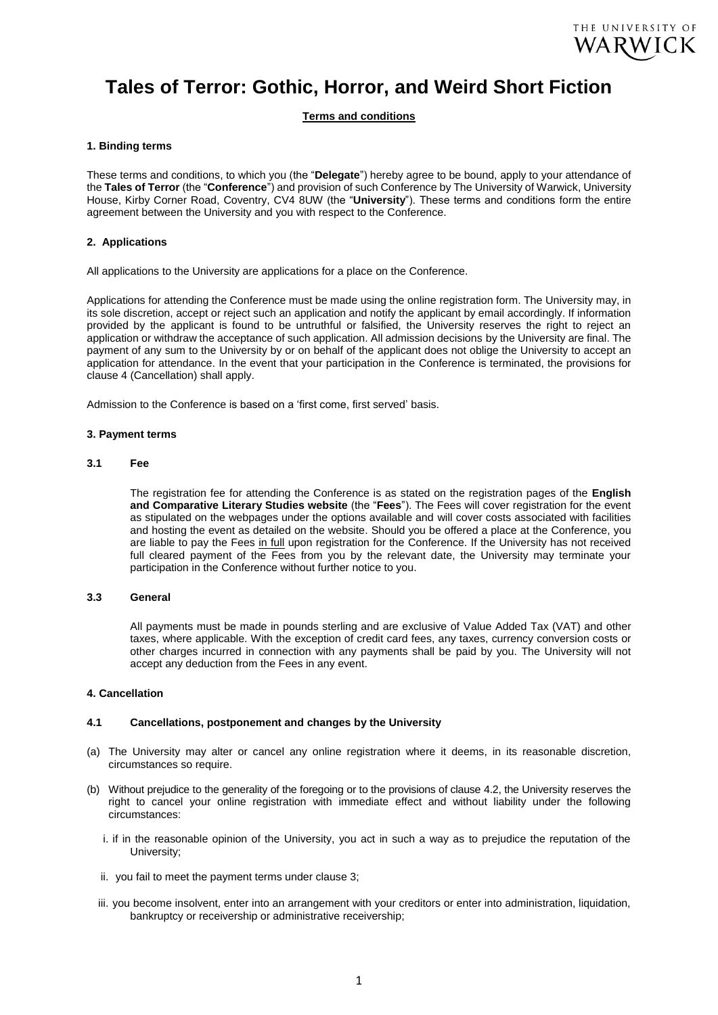

# **Tales of Terror: Gothic, Horror, and Weird Short Fiction**

# **Terms and conditions**

### **1. Binding terms**

These terms and conditions, to which you (the "**Delegate**") hereby agree to be bound, apply to your attendance of the **Tales of Terror** (the "**Conference**") and provision of such Conference by The University of Warwick, University House, Kirby Corner Road, Coventry, CV4 8UW (the "**University**"). These terms and conditions form the entire agreement between the University and you with respect to the Conference.

# **2. Applications**

All applications to the University are applications for a place on the Conference.

Applications for attending the Conference must be made using the online registration form. The University may, in its sole discretion, accept or reject such an application and notify the applicant by email accordingly. If information provided by the applicant is found to be untruthful or falsified, the University reserves the right to reject an application or withdraw the acceptance of such application. All admission decisions by the University are final. The payment of any sum to the University by or on behalf of the applicant does not oblige the University to accept an application for attendance. In the event that your participation in the Conference is terminated, the provisions for clause 4 (Cancellation) shall apply.

Admission to the Conference is based on a 'first come, first served' basis.

#### **3. Payment terms**

#### **3.1 Fee**

The registration fee for attending the Conference is as stated on the registration pages of the **English and Comparative Literary Studies website** (the "**Fees**"). The Fees will cover registration for the event as stipulated on the webpages under the options available and will cover costs associated with facilities and hosting the event as detailed on the website. Should you be offered a place at the Conference, you are liable to pay the Fees in full upon registration for the Conference. If the University has not received full cleared payment of the Fees from you by the relevant date, the University may terminate your participation in the Conference without further notice to you.

#### **3.3 General**

All payments must be made in pounds sterling and are exclusive of Value Added Tax (VAT) and other taxes, where applicable. With the exception of credit card fees, any taxes, currency conversion costs or other charges incurred in connection with any payments shall be paid by you. The University will not accept any deduction from the Fees in any event.

#### **4. Cancellation**

#### **4.1 Cancellations, postponement and changes by the University**

- (a) The University may alter or cancel any online registration where it deems, in its reasonable discretion, circumstances so require.
- (b) Without prejudice to the generality of the foregoing or to the provisions of clause 4.2, the University reserves the right to cancel your online registration with immediate effect and without liability under the following circumstances:
	- i. if in the reasonable opinion of the University, you act in such a way as to prejudice the reputation of the University;
	- ii. you fail to meet the payment terms under clause 3;
	- iii. you become insolvent, enter into an arrangement with your creditors or enter into administration, liquidation, bankruptcy or receivership or administrative receivership;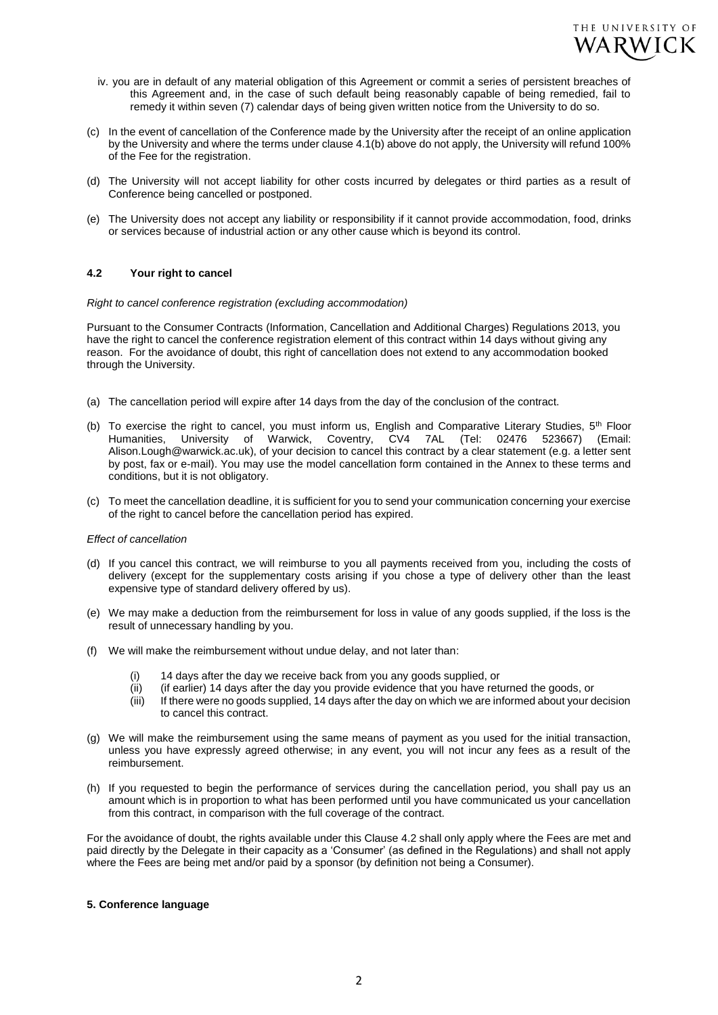

- iv. you are in default of any material obligation of this Agreement or commit a series of persistent breaches of this Agreement and, in the case of such default being reasonably capable of being remedied, fail to remedy it within seven (7) calendar days of being given written notice from the University to do so.
- (c) In the event of cancellation of the Conference made by the University after the receipt of an online application by the University and where the terms under clause 4.1(b) above do not apply, the University will refund 100% of the Fee for the registration.
- (d) The University will not accept liability for other costs incurred by delegates or third parties as a result of Conference being cancelled or postponed.
- (e) The University does not accept any liability or responsibility if it cannot provide accommodation, food, drinks or services because of industrial action or any other cause which is beyond its control.

# **4.2 Your right to cancel**

#### *Right to cancel conference registration (excluding accommodation)*

Pursuant to the Consumer Contracts (Information, Cancellation and Additional Charges) Regulations 2013, you have the right to cancel the conference registration element of this contract within 14 days without giving any reason. For the avoidance of doubt, this right of cancellation does not extend to any accommodation booked through the University.

- (a) The cancellation period will expire after 14 days from the day of the conclusion of the contract.
- (b) To exercise the right to cancel, you must inform us, English and Comparative Literary Studies, 5<sup>th</sup> Floor Humanities, University of Warwick, Coventry, CV4 7AL (Tel: 02476 523667) (Email: Alison.Lough@warwick.ac.uk), of your decision to cancel this contract by a clear statement (e.g. a letter sent by post, fax or e-mail). You may use the model cancellation form contained in the Annex to these terms and conditions, but it is not obligatory.
- (c) To meet the cancellation deadline, it is sufficient for you to send your communication concerning your exercise of the right to cancel before the cancellation period has expired.

#### *Effect of cancellation*

- (d) If you cancel this contract, we will reimburse to you all payments received from you, including the costs of delivery (except for the supplementary costs arising if you chose a type of delivery other than the least expensive type of standard delivery offered by us).
- (e) We may make a deduction from the reimbursement for loss in value of any goods supplied, if the loss is the result of unnecessary handling by you.
- (f) We will make the reimbursement without undue delay, and not later than:
	- (i) 14 days after the day we receive back from you any goods supplied, or
	- (ii) (if earlier) 14 days after the day you provide evidence that you have returned the goods, or
	- (iii) If there were no goods supplied, 14 days after the day on which we are informed about your decision to cancel this contract.
- (g) We will make the reimbursement using the same means of payment as you used for the initial transaction, unless you have expressly agreed otherwise; in any event, you will not incur any fees as a result of the reimbursement.
- (h) If you requested to begin the performance of services during the cancellation period, you shall pay us an amount which is in proportion to what has been performed until you have communicated us your cancellation from this contract, in comparison with the full coverage of the contract.

For the avoidance of doubt, the rights available under this Clause 4.2 shall only apply where the Fees are met and paid directly by the Delegate in their capacity as a 'Consumer' (as defined in the Regulations) and shall not apply where the Fees are being met and/or paid by a sponsor (by definition not being a Consumer).

#### **5. Conference language**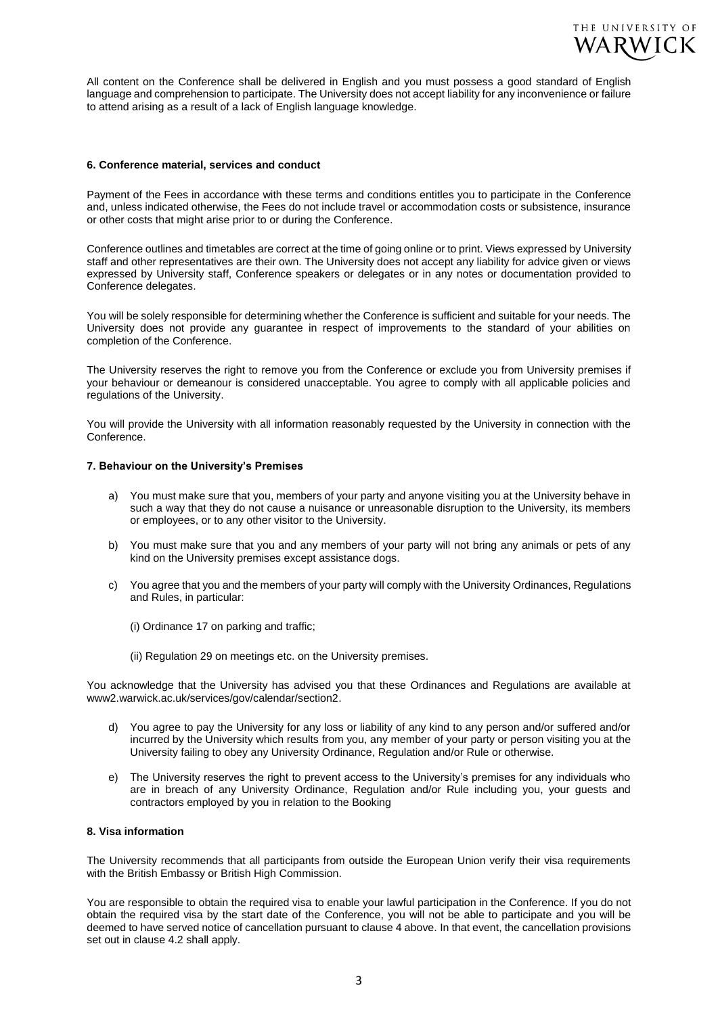

All content on the Conference shall be delivered in English and you must possess a good standard of English language and comprehension to participate. The University does not accept liability for any inconvenience or failure to attend arising as a result of a lack of English language knowledge.

#### **6. Conference material, services and conduct**

Payment of the Fees in accordance with these terms and conditions entitles you to participate in the Conference and, unless indicated otherwise, the Fees do not include travel or accommodation costs or subsistence, insurance or other costs that might arise prior to or during the Conference.

Conference outlines and timetables are correct at the time of going online or to print. Views expressed by University staff and other representatives are their own. The University does not accept any liability for advice given or views expressed by University staff, Conference speakers or delegates or in any notes or documentation provided to Conference delegates.

You will be solely responsible for determining whether the Conference is sufficient and suitable for your needs. The University does not provide any guarantee in respect of improvements to the standard of your abilities on completion of the Conference.

The University reserves the right to remove you from the Conference or exclude you from University premises if your behaviour or demeanour is considered unacceptable. You agree to comply with all applicable policies and regulations of the University.

You will provide the University with all information reasonably requested by the University in connection with the Conference.

#### **7. Behaviour on the University's Premises**

- a) You must make sure that you, members of your party and anyone visiting you at the University behave in such a way that they do not cause a nuisance or unreasonable disruption to the University, its members or employees, or to any other visitor to the University.
- b) You must make sure that you and any members of your party will not bring any animals or pets of any kind on the University premises except assistance dogs.
- c) You agree that you and the members of your party will comply with the University Ordinances, Regulations and Rules, in particular:
	- (i) Ordinance 17 on parking and traffic;
	- (ii) Regulation 29 on meetings etc. on the University premises.

You acknowledge that the University has advised you that these Ordinances and Regulations are available at [www2.warwick.ac.uk/services/gov/calendar/section2.](http://www2.warwick.ac.uk/services/gov/calendar/section2)

- d) You agree to pay the University for any loss or liability of any kind to any person and/or suffered and/or incurred by the University which results from you, any member of your party or person visiting you at the University failing to obey any University Ordinance, Regulation and/or Rule or otherwise.
- e) The University reserves the right to prevent access to the University's premises for any individuals who are in breach of any University Ordinance, Regulation and/or Rule including you, your guests and contractors employed by you in relation to the Booking

# **8. Visa information**

The University recommends that all participants from outside the European Union verify their visa requirements with the British Embassy or British High Commission.

You are responsible to obtain the required visa to enable your lawful participation in the Conference. If you do not obtain the required visa by the start date of the Conference, you will not be able to participate and you will be deemed to have served notice of cancellation pursuant to clause 4 above. In that event, the cancellation provisions set out in clause 4.2 shall apply.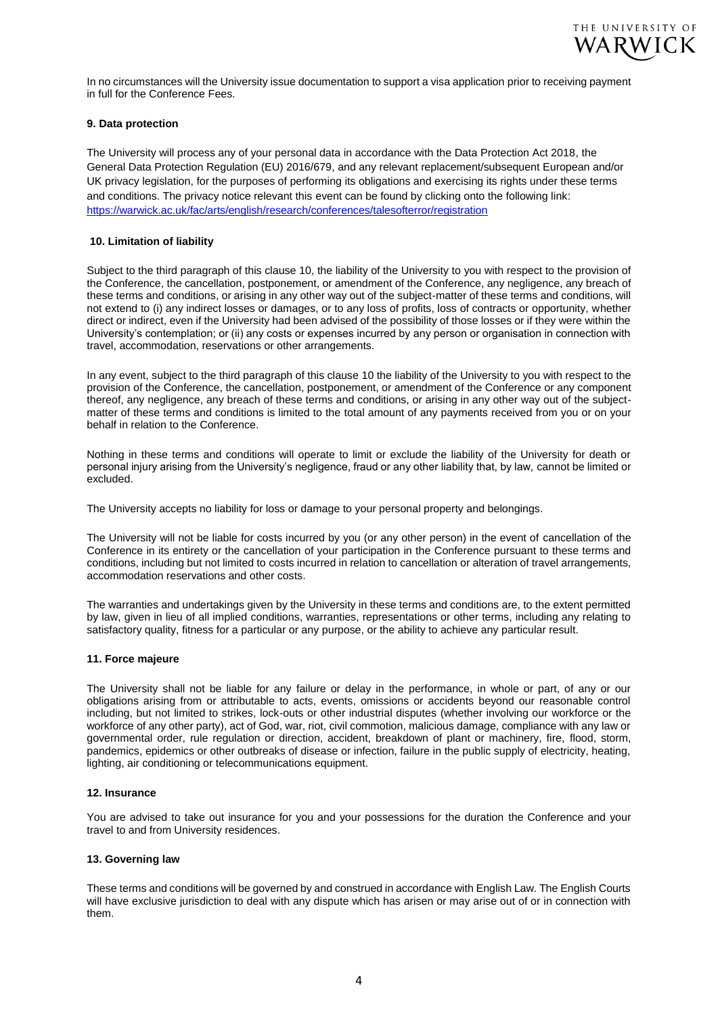

In no circumstances will the University issue documentation to support a visa application prior to receiving payment in full for the Conference Fees.

# **9. Data protection**

The University will process any of your personal data in accordance with the Data Protection Act 2018, the General Data Protection Regulation (EU) 2016/679, and any relevant replacement/subsequent European and/or UK privacy legislation, for the purposes of performing its obligations and exercising its rights under these terms and conditions. The privacy notice relevant this event can be found by clicking onto the following link: <https://warwick.ac.uk/fac/arts/english/research/conferences/talesofterror/registration>

# **10. Limitation of liability**

Subject to the third paragraph of this clause 10, the liability of the University to you with respect to the provision of the Conference, the cancellation, postponement, or amendment of the Conference, any negligence, any breach of these terms and conditions, or arising in any other way out of the subject-matter of these terms and conditions, will not extend to (i) any indirect losses or damages, or to any loss of profits, loss of contracts or opportunity, whether direct or indirect, even if the University had been advised of the possibility of those losses or if they were within the University's contemplation; or (ii) any costs or expenses incurred by any person or organisation in connection with travel, accommodation, reservations or other arrangements.

In any event, subject to the third paragraph of this clause 10 the liability of the University to you with respect to the provision of the Conference, the cancellation, postponement, or amendment of the Conference or any component thereof, any negligence, any breach of these terms and conditions, or arising in any other way out of the subjectmatter of these terms and conditions is limited to the total amount of any payments received from you or on your behalf in relation to the Conference.

Nothing in these terms and conditions will operate to limit or exclude the liability of the University for death or personal injury arising from the University's negligence, fraud or any other liability that, by law, cannot be limited or excluded.

The University accepts no liability for loss or damage to your personal property and belongings.

The University will not be liable for costs incurred by you (or any other person) in the event of cancellation of the Conference in its entirety or the cancellation of your participation in the Conference pursuant to these terms and conditions, including but not limited to costs incurred in relation to cancellation or alteration of travel arrangements, accommodation reservations and other costs.

The warranties and undertakings given by the University in these terms and conditions are, to the extent permitted by law, given in lieu of all implied conditions, warranties, representations or other terms, including any relating to satisfactory quality, fitness for a particular or any purpose, or the ability to achieve any particular result.

# **11. Force majeure**

The University shall not be liable for any failure or delay in the performance, in whole or part, of any or our obligations arising from or attributable to acts, events, omissions or accidents beyond our reasonable control including, but not limited to strikes, lock-outs or other industrial disputes (whether involving our workforce or the workforce of any other party), act of God, war, riot, civil commotion, malicious damage, compliance with any law or governmental order, rule regulation or direction, accident, breakdown of plant or machinery, fire, flood, storm, pandemics, epidemics or other outbreaks of disease or infection, failure in the public supply of electricity, heating, lighting, air conditioning or telecommunications equipment.

# **12. Insurance**

You are advised to take out insurance for you and your possessions for the duration the Conference and your travel to and from University residences.

# **13. Governing law**

These terms and conditions will be governed by and construed in accordance with English Law. The English Courts will have exclusive jurisdiction to deal with any dispute which has arisen or may arise out of or in connection with them.